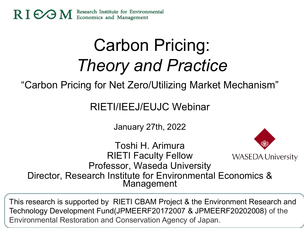

# Carbon Pricing: *Theory and Practice*

"Carbon Pricing for Net Zero/Utilizing Market Mechanism"

RIETI/IEEJ/EUJC Webinar

January 27th, 2022

Toshi H. Arimura RIETI Faculty Fellow **WASEDA University** Professor, Waseda University Director, Research Institute for Environmental Economics & Management

This research is supported by RIETI CBAM Project & the Environment Research and Technology Development Fund(JPMEERF20172007 & JPMEERF20202008) of the Environmental Restoration and Conservation Agency of Japan.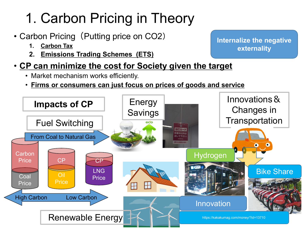# 1. Carbon Pricing in Theory

- Carbon Pricing (Putting price on CO2)
	- **1. Carbon Tax**
	- **2. Emissions Trading Schemes (ETS)**
- **CP can minimize the cost for Society given the target** 
	- Market mechanism works efficiently.
	- **Firms or consumers can just focus on prices of goods and service**



**Internalize the negative externality**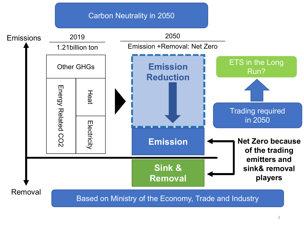#### Carbon Neutrality in 2050

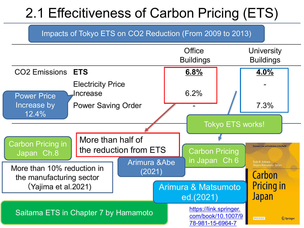## 2.1 Effecitiveness of Carbon Pricing (ETS)



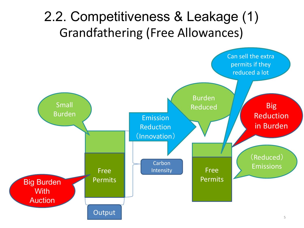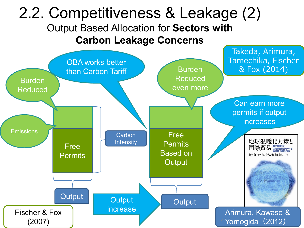### 2.2. Competitiveness & Leakage (2) Output Based Allocation for **Sectors with Carbon Leakage Concerns**

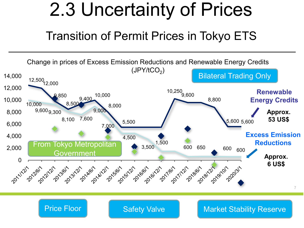# 2.3 Uncertainty of Prices

### Transition of Permit Prices in Tokyo ETS



### Price Floor Safety Valve Market Stability Reserve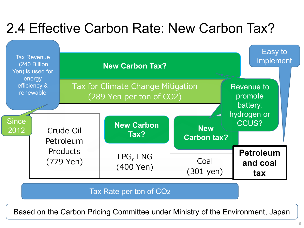## 2.4 Effective Carbon Rate: New Carbon Tax?



Tax Rate per ton of CO2

Based on the Carbon Pricing Committee under Ministry of the Environment, Japan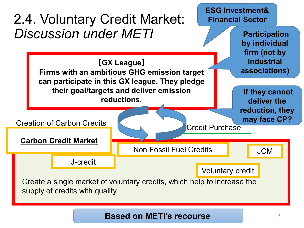

#### **Based on METI's recourse**.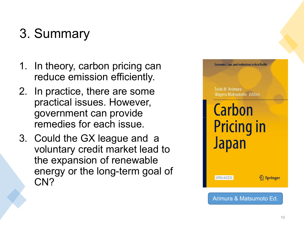## 3. Summary

- 1. In theory, carbon pricing can reduce emission efficiently.
- 2. In practice, there are some practical issues. However, government can provide remedies for each issue.
- 3. Could the GX league and a voluntary credit market lead to the expansion of renewable energy or the long-term goal of CN?